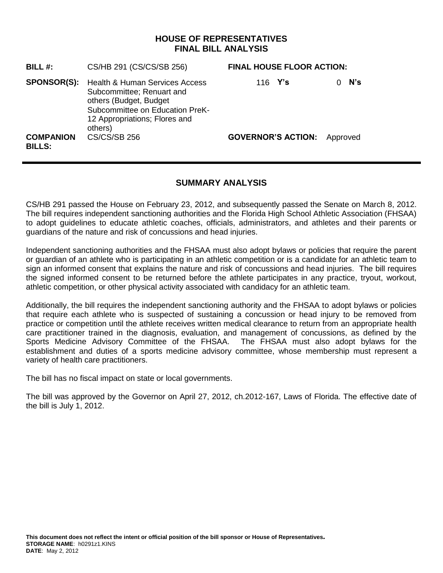## **HOUSE OF REPRESENTATIVES FINAL BILL ANALYSIS**

| BILL $#$ :                        | CS/HB 291 (CS/CS/SB 256)                                                                                                                                                         | <b>FINAL HOUSE FLOOR ACTION:</b> |          |
|-----------------------------------|----------------------------------------------------------------------------------------------------------------------------------------------------------------------------------|----------------------------------|----------|
| <b>SPONSOR(S):</b>                | <b>Health &amp; Human Services Access</b><br>Subcommittee; Renuart and<br>others (Budget, Budget)<br>Subcommittee on Education PreK-<br>12 Appropriations; Flores and<br>others) | 116 $Y's$                        | N's      |
| <b>COMPANION</b><br><b>BILLS:</b> | <b>CS/CS/SB 256</b>                                                                                                                                                              | <b>GOVERNOR'S ACTION:</b>        | Approved |

### **SUMMARY ANALYSIS**

CS/HB 291 passed the House on February 23, 2012, and subsequently passed the Senate on March 8, 2012. The bill requires independent sanctioning authorities and the Florida High School Athletic Association (FHSAA) to adopt guidelines to educate athletic coaches, officials, administrators, and athletes and their parents or guardians of the nature and risk of concussions and head injuries.

Independent sanctioning authorities and the FHSAA must also adopt bylaws or policies that require the parent or guardian of an athlete who is participating in an athletic competition or is a candidate for an athletic team to sign an informed consent that explains the nature and risk of concussions and head injuries. The bill requires the signed informed consent to be returned before the athlete participates in any practice, tryout, workout, athletic competition, or other physical activity associated with candidacy for an athletic team.

Additionally, the bill requires the independent sanctioning authority and the FHSAA to adopt bylaws or policies that require each athlete who is suspected of sustaining a concussion or head injury to be removed from practice or competition until the athlete receives written medical clearance to return from an appropriate health care practitioner trained in the diagnosis, evaluation, and management of concussions, as defined by the Sports Medicine Advisory Committee of the FHSAA. The FHSAA must also adopt bylaws for the establishment and duties of a sports medicine advisory committee, whose membership must represent a variety of health care practitioners.

The bill has no fiscal impact on state or local governments.

The bill was approved by the Governor on April 27, 2012, ch.2012-167, Laws of Florida. The effective date of the bill is July 1, 2012.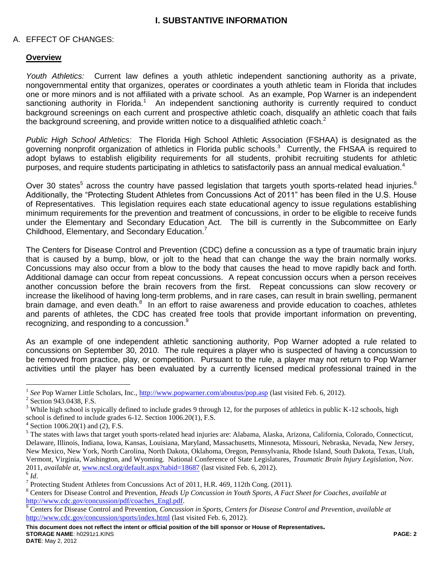### **I. SUBSTANTIVE INFORMATION**

#### A. EFFECT OF CHANGES:

#### **Overview**

*Youth Athletics:* Current law defines a youth athletic independent sanctioning authority as a private, nongovernmental entity that organizes, operates or coordinates a youth athletic team in Florida that includes one or more minors and is not affiliated with a private school. As an example, Pop Warner is an independent sanctioning authority in Florida.<sup>1</sup> An independent sanctioning authority is currently required to conduct background screenings on each current and prospective athletic coach, disqualify an athletic coach that fails the background screening, and provide written notice to a disqualified athletic coach.<sup>2</sup>

*Public High School Athletics:* The Florida High School Athletic Association (FSHAA) is designated as the governing nonprofit organization of athletics in Florida public schools.<sup>3</sup> Currently, the FHSAA is required to adopt bylaws to establish eligibility requirements for all students, prohibit recruiting students for athletic purposes, and require students participating in athletics to satisfactorily pass an annual medical evaluation.<sup>4</sup>

Over 30 states<sup>5</sup> across the country have passed legislation that targets youth sports-related head injuries.<sup>6</sup> Additionally, the "Protecting Student Athletes from Concussions Act of 2011" has been filed in the U.S. House of Representatives. This legislation requires each state educational agency to issue regulations establishing minimum requirements for the prevention and treatment of concussions, in order to be eligible to receive funds under the Elementary and Secondary Education Act. The bill is currently in the Subcommittee on Early Childhood, Elementary, and Secondary Education.<sup>7</sup>

The Centers for Disease Control and Prevention (CDC) define a concussion as a type of traumatic brain injury that is caused by a bump, blow, or jolt to the head that can change the way the brain normally works. Concussions may also occur from a blow to the body that causes the head to move rapidly back and forth. Additional damage can occur from repeat concussions. A repeat concussion occurs when a person receives another concussion before the brain recovers from the first. Repeat concussions can slow recovery or increase the likelihood of having long-term problems, and in rare cases, can result in brain swelling, permanent brain damage, and even death.<sup>8</sup> In an effort to raise awareness and provide education to coaches, athletes and parents of athletes, the CDC has created free tools that provide important information on preventing, recognizing, and responding to a concussion.<sup>9</sup>

As an example of one independent athletic sanctioning authority, Pop Warner adopted a rule related to concussions on September 30, 2010. The rule requires a player who is suspected of having a concussion to be removed from practice, play, or competition. Pursuant to the rule, a player may not return to Pop Warner activities until the player has been evaluated by a currently licensed medical professional trained in the

 $\overline{a}$ 

<sup>&</sup>lt;sup>1</sup> See Pop Warner Little Scholars, Inc.,<http://www.popwarner.com/aboutus/pop.asp> (last visited Feb. 6, 2012).

<sup>&</sup>lt;sup>2</sup> Section 943.0438, F.S.

<sup>&</sup>lt;sup>3</sup> While high school is typically defined to include grades 9 through 12, for the purposes of athletics in public K-12 schools, high school is defined to include grades 6-12. Section 1006.20(1), F.S.

 $4$  Section 1006.20(1) and (2), F.S.

<sup>&</sup>lt;sup>5</sup> The states with laws that target youth sports-related head injuries are: Alabama, Alaska, Arizona, California, Colorado, Connecticut, Delaware, Illinois, Indiana, Iowa, Kansas, Louisiana, Maryland, Massachusetts, Minnesota, Missouri, Nebraska, Nevada, New Jersey, New Mexico, New York, North Carolina, North Dakota, Oklahoma, Oregon, Pennsylvania, Rhode Island, South Dakota, Texas, Utah, Vermont, Virginia, Washington, and Wyoming. National Conference of State Legislatures, *Traumatic Brain Injury Legislation*, Nov. 2011, *available at,* [www.ncsl.org/default.aspx?tabid=18687](http://www.ncsl.org/default.aspx?tabid=18687) (last visited Feb. 6, 2012).

<sup>6</sup> *Id*.

<sup>&</sup>lt;sup>7</sup> Protecting Student Athletes from Concussions Act of 2011, H.R. 469, 112th Cong. (2011).

<sup>8</sup> Centers for Disease Control and Prevention, *Heads Up Concussion in Youth Sports, A Fact Sheet for Coaches*, *available at* [http://www.cdc.gov/concussion/pdf/coaches\\_Engl.pdf.](http://www.cdc.gov/concussion/pdf/coaches_Engl.pdf)

<sup>9</sup> Centers for Disease Control and Prevention, *Concussion in Sports, Centers for Disease Control and Prevention*, *available at*  <http://www.cdc.gov/concussion/sports/index.html> (last visited Feb. 6, 2012).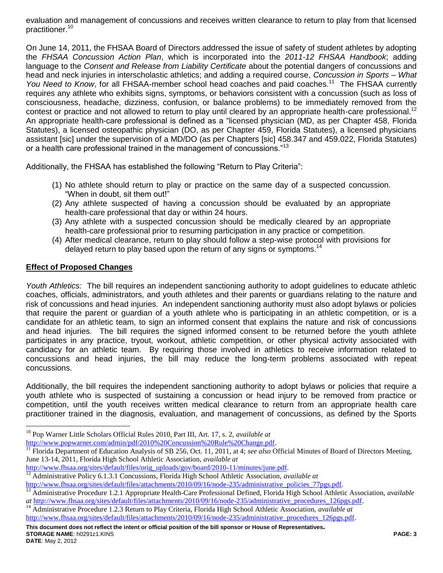evaluation and management of concussions and receives written clearance to return to play from that licensed practitioner.<sup>10</sup>

On June 14, 2011, the FHSAA Board of Directors addressed the issue of safety of student athletes by adopting the *FHSAA Concussion Action Plan*, which is incorporated into the *2011-12 FHSAA Handbook*; adding language to the *Consent and Release from Liability Certificate* about the potential dangers of concussions and head and neck injuries in interscholastic athletics; and adding a required course, *Concussion in Sports – What*  You Need to Know, for all FHSAA-member school head coaches and paid coaches.<sup>11</sup> The FHSAA currently requires any athlete who exhibits signs, symptoms, or behaviors consistent with a concussion (such as loss of consciousness, headache, dizziness, confusion, or balance problems) to be immediately removed from the contest or practice and not allowed to return to play until cleared by an appropriate health-care professional.<sup>12</sup> An appropriate health-care professional is defined as a "licensed physician (MD, as per Chapter 458, Florida Statutes), a licensed osteopathic physician (DO, as per Chapter 459, Florida Statutes), a licensed physicians assistant [sic] under the supervision of a MD/DO (as per Chapters [sic] 458.347 and 459.022, Florida Statutes) or a health care professional trained in the management of concussions."<sup>13</sup>

Additionally, the FHSAA has established the following "Return to Play Criteria":

- (1) No athlete should return to play or practice on the same day of a suspected concussion. "When in doubt, sit them out!"
- (2) Any athlete suspected of having a concussion should be evaluated by an appropriate health-care professional that day or within 24 hours.
- (3) Any athlete with a suspected concussion should be medically cleared by an appropriate health-care professional prior to resuming participation in any practice or competition.
- (4) After medical clearance, return to play should follow a step-wise protocol with provisions for delayed return to play based upon the return of any signs or symptoms.<sup>14</sup>

## **Effect of Proposed Changes**

*Youth Athletics:* The bill requires an independent sanctioning authority to adopt guidelines to educate athletic coaches, officials, administrators, and youth athletes and their parents or guardians relating to the nature and risk of concussions and head injuries. An independent sanctioning authority must also adopt bylaws or policies that require the parent or guardian of a youth athlete who is participating in an athletic competition, or is a candidate for an athletic team, to sign an informed consent that explains the nature and risk of concussions and head injuries. The bill requires the signed informed consent to be returned before the youth athlete participates in any practice, tryout, workout, athletic competition, or other physical activity associated with candidacy for an athletic team. By requiring those involved in athletics to receive information related to concussions and head injuries, the bill may reduce the long-term problems associated with repeat concussions.

Additionally, the bill requires the independent sanctioning authority to adopt bylaws or policies that require a youth athlete who is suspected of sustaining a concussion or head injury to be removed from practice or competition, until the youth receives written medical clearance to return from an appropriate health care practitioner trained in the diagnosis, evaluation, and management of concussions, as defined by the Sports

 $\overline{a}$ <sup>10</sup> Pop Warner Little Scholars Official Rules 2010, Part III, Art. 17, s. 2, *available at*  [http://www.popwarner.com/admin/pdf/2010%20Concussion%20Rule%20Change.pdf.](http://www.popwarner.com/admin/pdf/2010%20Concussion%20Rule%20Change.pdf)

<sup>11</sup> Florida Department of Education Analysis of SB 256, Oct. 11, 2011, at 4; *see also* Official Minutes of Board of Directors Meeting, June 13-14, 2011, Florida High School Athletic Association, *available at* 

[http://www.fhsaa.org/sites/default/files/orig\\_uploads/gov/board/2010-11/minutes/june.pdf.](http://www.fhsaa.org/sites/default/files/orig_uploads/gov/board/2010-11/minutes/june.pdf)<br><sup>12</sup> Administrative Policy 6.1.3.1 Concussions. Florida High School Athletic Association. <sup>12</sup> Administrative Policy 6.1.3.1 Concussions, Florida High School Athletic Association, *available at* 

[http://www.fhsaa.org/sites/default/files/attachments/2010/09/16/node-235/administrative\\_policies\\_77pgs.pdf.](http://www.fhsaa.org/sites/default/files/attachments/2010/09/16/node-235/administrative_policies_77pgs.pdf)<br><sup>13</sup> Administrative Procedure 1.2.1 Appropriate Health Care Professional Defined, Florida High School Athletic

<sup>13</sup> Administrative Procedure 1.2.1 Appropriate Health-Care Professional Defined, Florida High School Athletic Association, *available at [http://www.fhsaa.org/sites/default/files/attachments/2010/09/16/node-235/administrative\\_procedures\\_126pgs.pdf.](http://www.fhsaa.org/sites/default/files/attachments/2010/09/16/node-235/administrative_procedures_126pgs.pdf)*<br><sup>14</sup> Administrative Procedure 1.2.2 Beturn to Play Criterie, Floride Uich School, Athletie, Association, q

<sup>14</sup> Administrative Procedure 1.2.3 Return to Play Criteria, Florida High School Athletic Association, *available at*  [http://www.fhsaa.org/sites/default/files/attachments/2010/09/16/node-235/administrative\\_procedures\\_126pgs.pdf.](http://www.fhsaa.org/sites/default/files/attachments/2010/09/16/node-235/administrative_procedures_126pgs.pdf)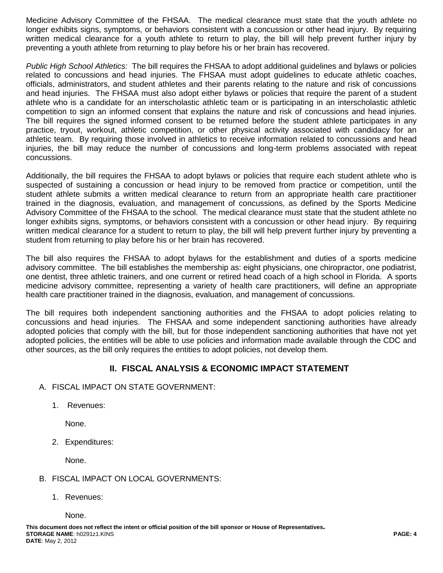Medicine Advisory Committee of the FHSAA. The medical clearance must state that the youth athlete no longer exhibits signs, symptoms, or behaviors consistent with a concussion or other head injury. By requiring written medical clearance for a youth athlete to return to play, the bill will help prevent further injury by preventing a youth athlete from returning to play before his or her brain has recovered.

*Public High School Athletics:* The bill requires the FHSAA to adopt additional guidelines and bylaws or policies related to concussions and head injuries. The FHSAA must adopt guidelines to educate athletic coaches, officials, administrators, and student athletes and their parents relating to the nature and risk of concussions and head injuries. The FHSAA must also adopt either bylaws or policies that require the parent of a student athlete who is a candidate for an interscholastic athletic team or is participating in an interscholastic athletic competition to sign an informed consent that explains the nature and risk of concussions and head injuries. The bill requires the signed informed consent to be returned before the student athlete participates in any practice, tryout, workout, athletic competition, or other physical activity associated with candidacy for an athletic team. By requiring those involved in athletics to receive information related to concussions and head injuries, the bill may reduce the number of concussions and long-term problems associated with repeat concussions.

Additionally, the bill requires the FHSAA to adopt bylaws or policies that require each student athlete who is suspected of sustaining a concussion or head injury to be removed from practice or competition, until the student athlete submits a written medical clearance to return from an appropriate health care practitioner trained in the diagnosis, evaluation, and management of concussions, as defined by the Sports Medicine Advisory Committee of the FHSAA to the school. The medical clearance must state that the student athlete no longer exhibits signs, symptoms, or behaviors consistent with a concussion or other head injury. By requiring written medical clearance for a student to return to play, the bill will help prevent further injury by preventing a student from returning to play before his or her brain has recovered.

The bill also requires the FHSAA to adopt bylaws for the establishment and duties of a sports medicine advisory committee. The bill establishes the membership as: eight physicians, one chiropractor, one podiatrist, one dentist, three athletic trainers, and one current or retired head coach of a high school in Florida. A sports medicine advisory committee, representing a variety of health care practitioners, will define an appropriate health care practitioner trained in the diagnosis, evaluation, and management of concussions.

The bill requires both independent sanctioning authorities and the FHSAA to adopt policies relating to concussions and head injuries. The FHSAA and some independent sanctioning authorities have already adopted policies that comply with the bill, but for those independent sanctioning authorities that have not yet adopted policies, the entities will be able to use policies and information made available through the CDC and other sources, as the bill only requires the entities to adopt policies, not develop them.

# **II. FISCAL ANALYSIS & ECONOMIC IMPACT STATEMENT**

- A. FISCAL IMPACT ON STATE GOVERNMENT:
	- 1. Revenues:

None.

2. Expenditures:

None.

## B. FISCAL IMPACT ON LOCAL GOVERNMENTS:

1. Revenues:

None.